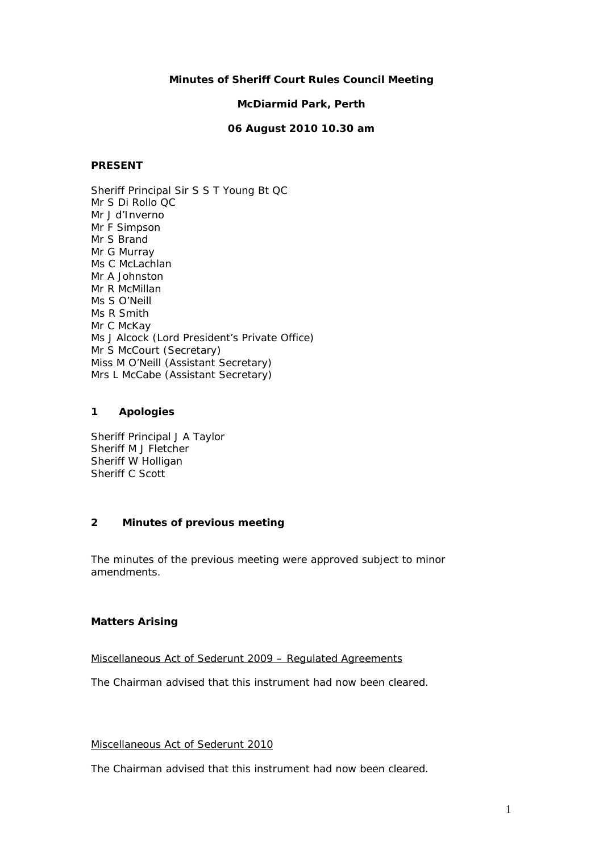# **Minutes of Sheriff Court Rules Council Meeting**

# **McDiarmid Park, Perth**

# **06 August 2010 10.30 am**

# **PRESENT**

Sheriff Principal Sir S S T Young Bt QC Mr S Di Rollo QC Mr J d'Inverno Mr F Simpson Mr S Brand Mr G Murray Ms C McLachlan Mr A Johnston Mr R McMillan Ms S O'Neill Ms R Smith Mr C McKay Ms J Alcock (Lord President's Private Office) Mr S McCourt (Secretary) Miss M O'Neill (Assistant Secretary) Mrs L McCabe (Assistant Secretary)

# **1 Apologies**

Sheriff Principal J A Taylor Sheriff M J Fletcher Sheriff W Holligan Sheriff C Scott

# **2 Minutes of previous meeting**

The minutes of the previous meeting were approved subject to minor amendments.

# **Matters Arising**

# Miscellaneous Act of Sederunt 2009 – Regulated Agreements

The Chairman advised that this instrument had now been cleared.

#### Miscellaneous Act of Sederunt 2010

The Chairman advised that this instrument had now been cleared.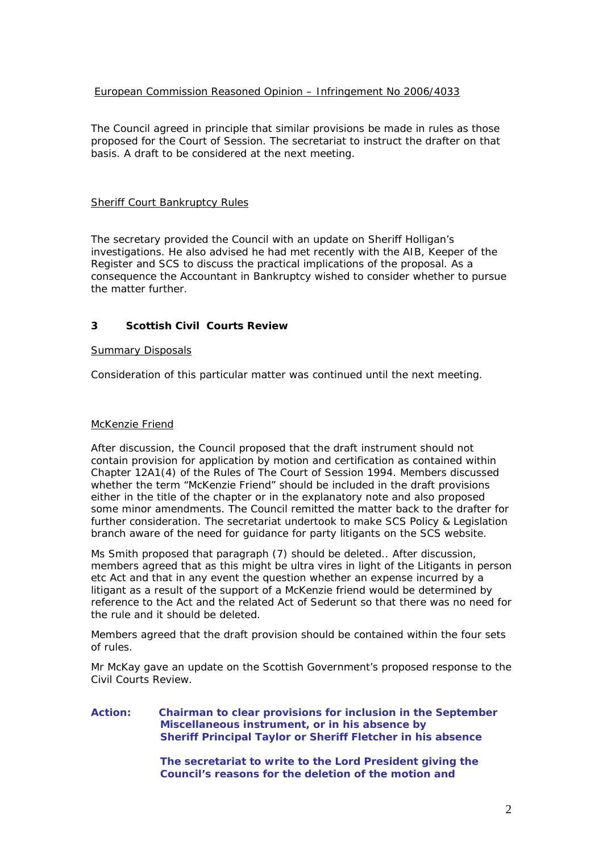# European Commission Reasoned Opinion – Infringement No 2006/4033

The Council agreed in principle that similar provisions be made in rules as those proposed for the Court of Session. The secretariat to instruct the drafter on that basis. A draft to be considered at the next meeting.

# **Sheriff Court Bankruptcy Rules**

The secretary provided the Council with an update on Sheriff Holligan's investigations. He also advised he had met recently with the AIB, Keeper of the Register and SCS to discuss the practical implications of the proposal. As a consequence the Accountant in Bankruptcy wished to consider whether to pursue the matter further.

# **3 Scottish Civil Courts Review**

#### Summary Disposals

Consideration of this particular matter was continued until the next meeting.

#### McKenzie Friend

After discussion, the Council proposed that the draft instrument should not contain provision for application by motion and certification as contained within Chapter 12A1(4) of the Rules of The Court of Session 1994. Members discussed whether the term "McKenzie Friend" should be included in the draft provisions either in the title of the chapter or in the explanatory note and also proposed some minor amendments. The Council remitted the matter back to the drafter for further consideration. The secretariat undertook to make SCS Policy & Legislation branch aware of the need for guidance for party litigants on the SCS website.

Ms Smith proposed that paragraph (7) should be deleted.. After discussion, members agreed that as this might be ultra vires in light of the Litigants in person etc Act and that in any event the question whether an expense incurred by a litigant as a result of the support of a McKenzie friend would be determined by reference to the Act and the related Act of Sederunt so that there was no need for the rule and it should be deleted.

Members agreed that the draft provision should be contained within the four sets of rules.

Mr McKay gave an update on the Scottish Government's proposed response to the Civil Courts Review.

#### **Action: Chairman to clear provisions for inclusion in the September Miscellaneous instrument, or in his absence by Sheriff Principal Taylor or Sheriff Fletcher in his absence**

 **The secretariat to write to the Lord President giving the Council's reasons for the deletion of the motion and**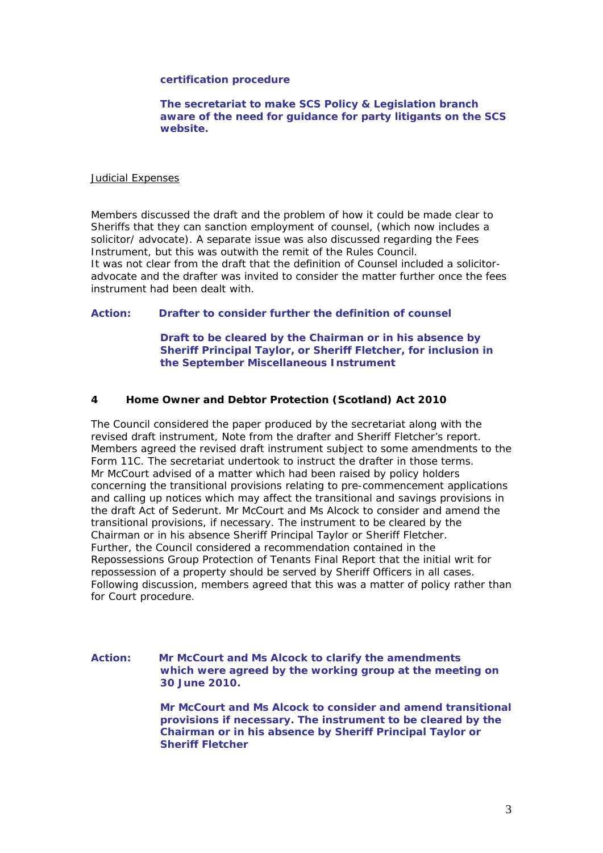#### **certification procedure**

 **The secretariat to make SCS Policy & Legislation branch aware of the need for guidance for party litigants on the SCS website.** 

#### Judicial Expenses

Members discussed the draft and the problem of how it could be made clear to Sheriffs that they can sanction employment of counsel, (which now includes a solicitor/ advocate). A separate issue was also discussed regarding the Fees Instrument, but this was outwith the remit of the Rules Council. It was not clear from the draft that the definition of Counsel included a solicitoradvocate and the drafter was invited to consider the matter further once the fees instrument had been dealt with.

#### **Action: Drafter to consider further the definition of counsel**

 **Draft to be cleared by the Chairman or in his absence by Sheriff Principal Taylor, or Sheriff Fletcher, for inclusion in the September Miscellaneous Instrument** 

#### **4 Home Owner and Debtor Protection (Scotland) Act 2010**

The Council considered the paper produced by the secretariat along with the revised draft instrument, Note from the drafter and Sheriff Fletcher's report. Members agreed the revised draft instrument subject to some amendments to the Form 11C. The secretariat undertook to instruct the drafter in those terms. Mr McCourt advised of a matter which had been raised by policy holders concerning the transitional provisions relating to pre-commencement applications and calling up notices which may affect the transitional and savings provisions in the draft Act of Sederunt. Mr McCourt and Ms Alcock to consider and amend the transitional provisions, if necessary. The instrument to be cleared by the Chairman or in his absence Sheriff Principal Taylor or Sheriff Fletcher. Further, the Council considered a recommendation contained in the Repossessions Group Protection of Tenants Final Report that the initial writ for repossession of a property should be served by Sheriff Officers in all cases. Following discussion, members agreed that this was a matter of policy rather than for Court procedure.

#### **Action: Mr McCourt and Ms Alcock to clarify the amendments which were agreed by the working group at the meeting on 30 June 2010.**

 **Mr McCourt and Ms Alcock to consider and amend transitional provisions if necessary. The instrument to be cleared by the Chairman or in his absence by Sheriff Principal Taylor or Sheriff Fletcher**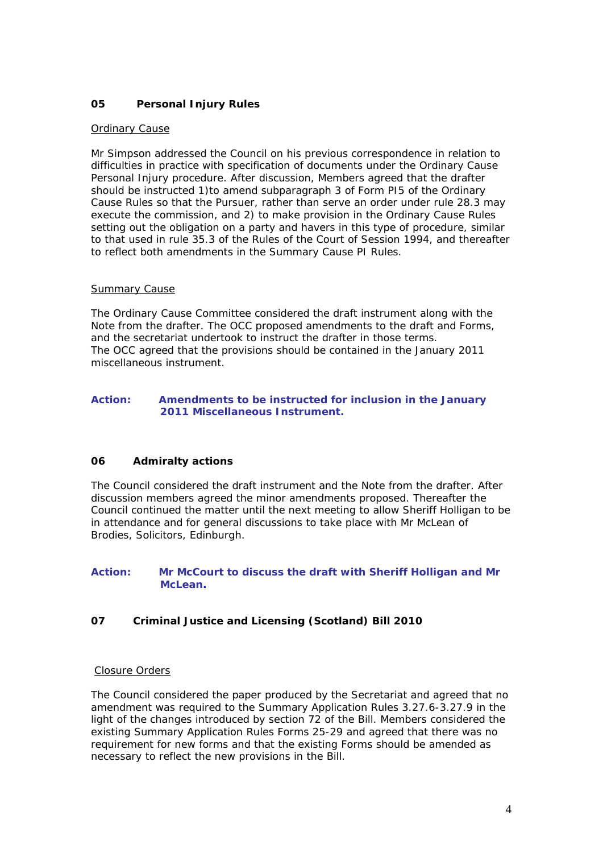# **05 Personal Injury Rules**

#### Ordinary Cause

Mr Simpson addressed the Council on his previous correspondence in relation to difficulties in practice with specification of documents under the Ordinary Cause Personal Injury procedure. After discussion, Members agreed that the drafter should be instructed 1)to amend subparagraph 3 of Form PI5 of the Ordinary Cause Rules so that the Pursuer, rather than serve an order under rule 28.3 may execute the commission, and 2) to make provision in the Ordinary Cause Rules setting out the obligation on a party and havers in this type of procedure, similar to that used in rule 35.3 of the Rules of the Court of Session 1994, and thereafter to reflect both amendments in the Summary Cause PI Rules.

#### **Summary Cause**

The Ordinary Cause Committee considered the draft instrument along with the Note from the drafter. The OCC proposed amendments to the draft and Forms, and the secretariat undertook to instruct the drafter in those terms. The OCC agreed that the provisions should be contained in the January 2011 miscellaneous instrument.

# **Action: Amendments to be instructed for inclusion in the January 2011 Miscellaneous Instrument.**

# **06 Admiralty actions**

The Council considered the draft instrument and the Note from the drafter. After discussion members agreed the minor amendments proposed. Thereafter the Council continued the matter until the next meeting to allow Sheriff Holligan to be in attendance and for general discussions to take place with Mr McLean of Brodies, Solicitors, Edinburgh.

# **Action: Mr McCourt to discuss the draft with Sheriff Holligan and Mr McLean.**

# **07 Criminal Justice and Licensing (Scotland) Bill 2010**

# Closure Orders

The Council considered the paper produced by the Secretariat and agreed that no amendment was required to the Summary Application Rules 3.27.6-3.27.9 in the light of the changes introduced by section 72 of the Bill. Members considered the existing Summary Application Rules Forms 25-29 and agreed that there was no requirement for new forms and that the existing Forms should be amended as necessary to reflect the new provisions in the Bill.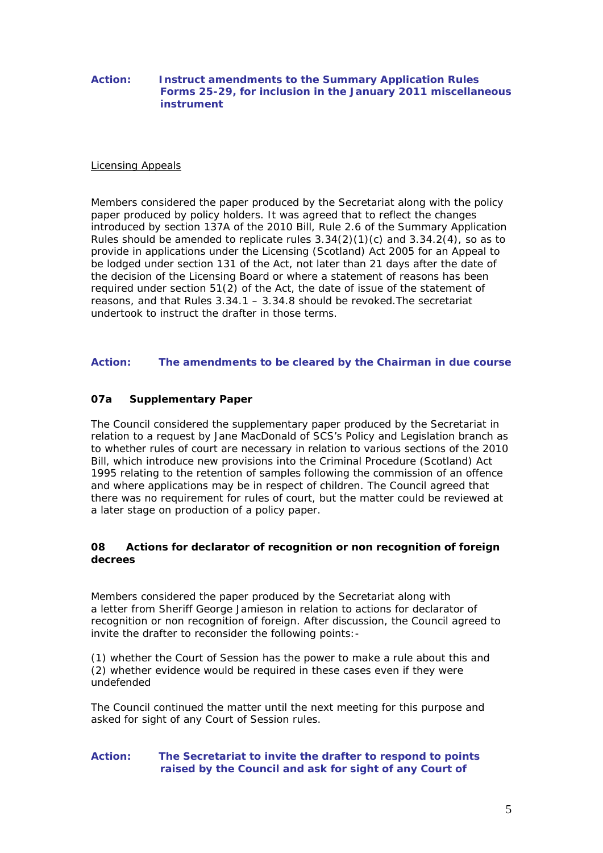# **Action: Instruct amendments to the Summary Application Rules Forms 25-29, for inclusion in the January 2011 miscellaneous instrument**

#### Licensing Appeals

Members considered the paper produced by the Secretariat along with the policy paper produced by policy holders. It was agreed that to reflect the changes introduced by section 137A of the 2010 Bill, Rule 2.6 of the Summary Application Rules should be amended to replicate rules  $3.34(2)(1)(c)$  and  $3.34.2(4)$ , so as to provide in applications under the Licensing (Scotland) Act 2005 for an Appeal to be lodged under section 131 of the Act, not later than 21 days after the date of the decision of the Licensing Board or where a statement of reasons has been required under section 51(2) of the Act, the date of issue of the statement of reasons, and that Rules 3.34.1 – 3.34.8 should be revoked.The secretariat undertook to instruct the drafter in those terms.

# **Action: The amendments to be cleared by the Chairman in due course**

# **07a Supplementary Paper**

The Council considered the supplementary paper produced by the Secretariat in relation to a request by Jane MacDonald of SCS's Policy and Legislation branch as to whether rules of court are necessary in relation to various sections of the 2010 Bill, which introduce new provisions into the Criminal Procedure (Scotland) Act 1995 relating to the retention of samples following the commission of an offence and where applications may be in respect of children. The Council agreed that there was no requirement for rules of court, but the matter could be reviewed at a later stage on production of a policy paper.

# **08 Actions for declarator of recognition or non recognition of foreign decrees**

Members considered the paper produced by the Secretariat along with a letter from Sheriff George Jamieson in relation to actions for declarator of recognition or non recognition of foreign. After discussion, the Council agreed to invite the drafter to reconsider the following points:-

(1) whether the Court of Session has the power to make a rule about this and (2) whether evidence would be required in these cases even if they were undefended

The Council continued the matter until the next meeting for this purpose and asked for sight of any Court of Session rules.

# **Action: The Secretariat to invite the drafter to respond to points raised by the Council and ask for sight of any Court of**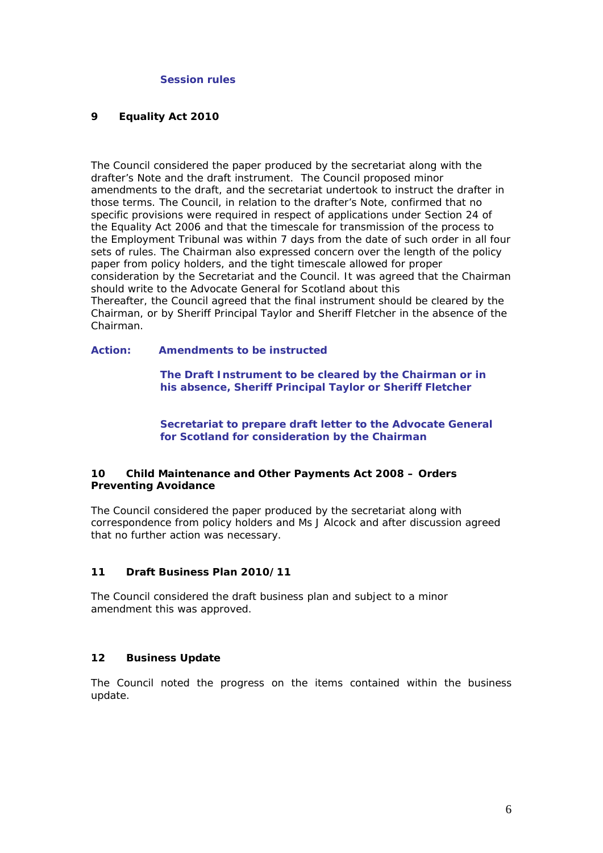#### **Session rules**

#### **9 Equality Act 2010**

The Council considered the paper produced by the secretariat along with the drafter's Note and the draft instrument. The Council proposed minor amendments to the draft, and the secretariat undertook to instruct the drafter in those terms. The Council, in relation to the drafter's Note, confirmed that no specific provisions were required in respect of applications under Section 24 of the Equality Act 2006 and that the timescale for transmission of the process to the Employment Tribunal was within 7 days from the date of such order in all four sets of rules. The Chairman also expressed concern over the length of the policy paper from policy holders, and the tight timescale allowed for proper consideration by the Secretariat and the Council. It was agreed that the Chairman should write to the Advocate General for Scotland about this Thereafter, the Council agreed that the final instrument should be cleared by the Chairman, or by Sheriff Principal Taylor and Sheriff Fletcher in the absence of the Chairman.

# **Action: Amendments to be instructed**

 **The Draft Instrument to be cleared by the Chairman or in his absence, Sheriff Principal Taylor or Sheriff Fletcher** 

 **Secretariat to prepare draft letter to the Advocate General for Scotland for consideration by the Chairman** 

# **10 Child Maintenance and Other Payments Act 2008 – Orders Preventing Avoidance**

The Council considered the paper produced by the secretariat along with correspondence from policy holders and Ms J Alcock and after discussion agreed that no further action was necessary.

#### **11 Draft Business Plan 2010/11**

The Council considered the draft business plan and subject to a minor amendment this was approved.

#### **12 Business Update**

The Council noted the progress on the items contained within the business update.